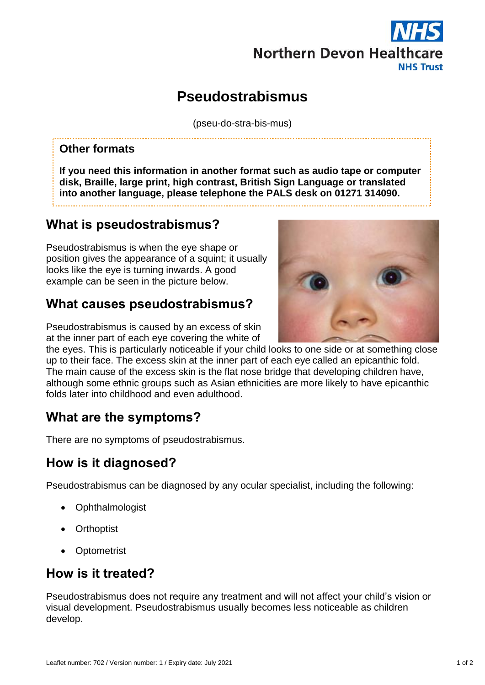

# **Pseudostrabismus**

(pseu-do-stra-bis-mus)

#### **Other formats**

**If you need this information in another format such as audio tape or computer disk, Braille, large print, high contrast, British Sign Language or translated into another language, please telephone the PALS desk on 01271 314090.**

## **What is pseudostrabismus?**

Pseudostrabismus is when the eye shape or position gives the appearance of a squint; it usually looks like the eye is turning inwards. A good example can be seen in the picture below.

## **What causes pseudostrabismus?**

Pseudostrabismus is caused by an excess of skin at the inner part of each eye covering the white of

the eyes. This is particularly noticeable if your child looks to one side or at something close up to their face. The excess skin at the inner part of each eye called an epicanthic fold. The main cause of the excess skin is the flat nose bridge that developing children have, although some ethnic groups such as Asian ethnicities are more likely to have epicanthic folds later into childhood and even adulthood.

## **What are the symptoms?**

There are no symptoms of pseudostrabismus.

### **How is it diagnosed?**

Pseudostrabismus can be diagnosed by any ocular specialist, including the following:

- Ophthalmologist
- Orthoptist
- **Optometrist**

### **How is it treated?**

Pseudostrabismus does not require any treatment and will not affect your child's vision or visual development. Pseudostrabismus usually becomes less noticeable as children develop.